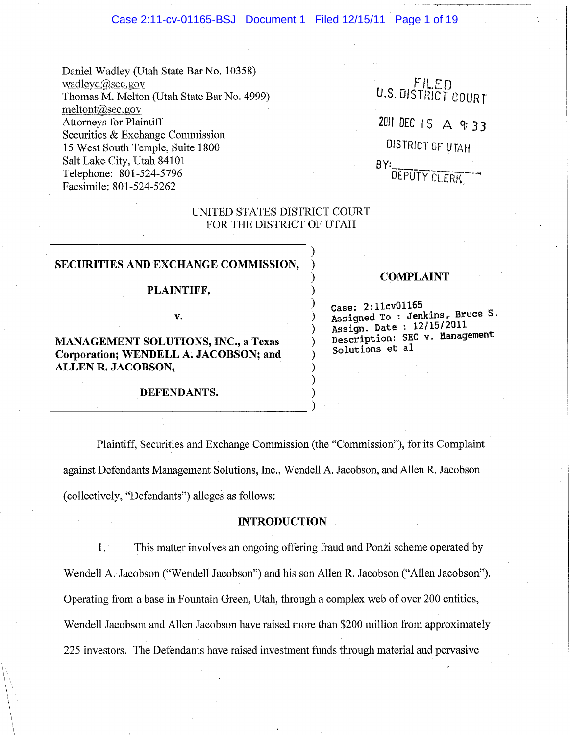### Case 2:11-cv-01165-BSJ Document 1 Filed 12/15/11 Page 1 of 19

Daniel Wadley (Utah State Bar No. 10358) wadIeyd@sec.gov Thomas M. Melton (Utah State Bar No. 4999)  $meltont@sec.gov$ Attorneys for Plaintiff Securities & Exchange Commission 15 West South Temple, Suite 1800 Salt Lake City, Utah 84101 Telephone: 801-524-5796 Facsimile: 801-524-5262

 $FILED$ U.S. DISTRICT COURT 2011 DEC I 5 A 9: 3 3 DISTRICT OF UTAH  $BY:$ DEPUTY CLERK

## UNITED STATES DISTRICT COURT FOR THE DISTRICT OF UTAH

)

) ) ) ) ) ) ) ) ) )

# SECURITIES AND EXCHANGE COMMISSION,

### PLAINTIFF,

v.

MANAGEMENT SOLUTIONS, INC., a Texas Corporation; WENDELL A. JACOBSON; and ALLEN R. JACOBSON,

DEFENDANTS.

--------------------------------)

## COMPLAINT

Case: 2:11cv01165 Assigned To : Jenkins, Bruce S. Assign. Date:  $12/15/2011$ Description: SEC v. Management Solutions et al

Plaintiff, Securities and Exchange Commission (the "Commission"), for its Complaint against Defendants Management Solutions, Inc., Wendell A. Jacobson, and Allen R. Jacobson (collectively, "Defendants") alleges as follows:

### INTRODUCTION

1. . This matter involves an ongoing offering fraud and Ponzi scheme operated by Wendell A. Jacobson ("Wendell Jacobson") and his son Allen R. Jacobson ("Allen Jacobson"). Operating from a base in Fountain Green, Utah, through a complex web of over 200 entities, Wendell Jacobson and Allen Jacobson have raised more than \$200 million from approximately 225 investors. The Defendants have raised investment funds through material and pervasive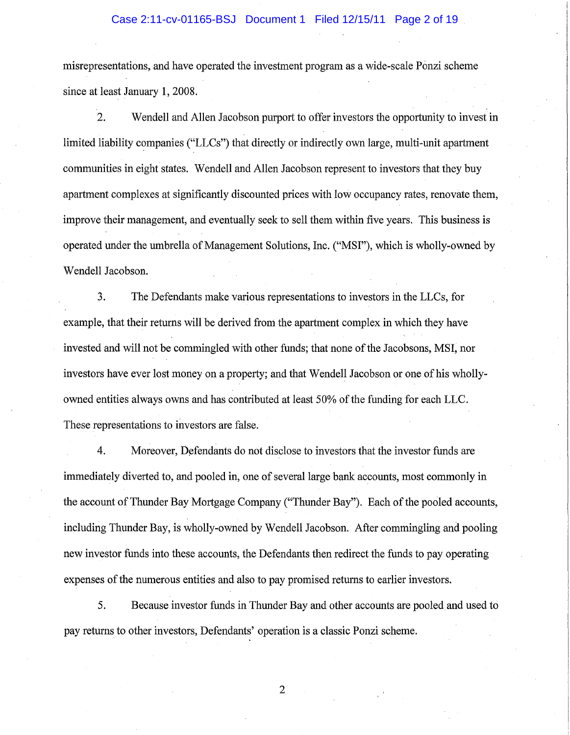### Case 2:11-cv-01165-BSJ Document 1 Filed 12/15/11 Page 2 of 19

misrepresentations, and have operated the investment program as a wide-scale Ponzi scheme since at least January 1, 2008.

2. Wendell and Allen Jacobson purport to offer investors the opportunity to invest in limited liability companies ("LLCs") that directly or indirectly own large, multi-unit apartment communities in eight states. Wendell and Allen Jacobson represent to investors that they buy apartment complexes at significantly discounted prices with low occupancy rates, renovate them, improve their management, and eventually seek to sell them within five years. This business is operated under the umbrella of Management Solutions, Inc. ("MSI"), which is wholly-owned by Wendell Jacobson.

3. The Defendants make various representations to investors in the LLCs, for example, that their returns will be derived from the apartment complex in which they have invested and will not be commingled with other funds; that none of the Jacobsons, MSI, nor investors have ever lost money on a property; and that Wendell Jacobson or one of his whollyowned entities always owns and has contributed at least 50% of the funding for each LLC. These representations to investors are false.

4. Moreover, Defendants do not disclose to investors that the investor funds are immediately diverted to, and pooled in, one of several large bank accounts, most commonly in the account of Thunder Bay Mortgage Company ("Thunder Bay"). Each of the pooled accounts, including Thunder Bay, is wholly-owned by Wendell Jacobson. After commingling and pooling new investor funds into these accounts, the Defendants then redirect the funds to pay operating expenses of the numerous entities and also to pay promised returns to earlier investors.

5. Because investor funds in Thunder Bay and other accounts are pooled and used to pay returns to other investors, Defendants' operation is a classic Ponzi scheme.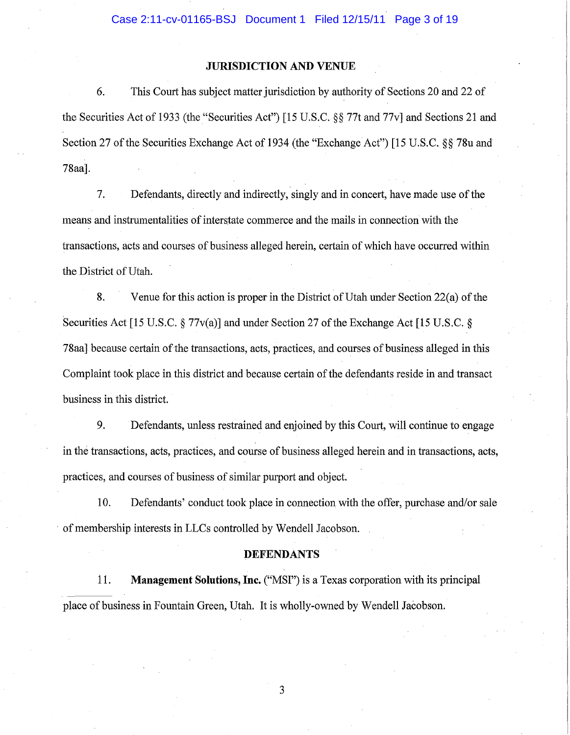## **JURISDICTION AND VENUE**

6. This Court has subject matter jurisdiction by authority of Sections 20 and 22 of the Securities Act of 1933 (the "Securities Act") [15 U.S.C. §§ 77t and 77v] and Sections 21 and Section 27 of the Securities Exchange Act of 1934 (the "Exchange Act") [15 U.S.C. §§ 78u and 78aa].

7. Defendants, directly and indirectly, singly and in concert, have made use of the means and instrumentalities of interstate commerce and the mails in connection with the transactions, acts and oourses of business alleged herein, certain of which have occurred within the District of Utah.

8. Venue for this action is proper in the District of Utah under Section 22(a) of the Securities Act [15 U.S.C. § 77v(a)] and under Section 27 of the Exchange Act [15 U.S.C. § 78aa] because certain of the transactions, acts, practices, and courses of business alleged in this Complaint took place in this district and because certain of the defendants reside in and transact business in this district.

9. Defendants, unless restrained and enjoined by this Court, will continue to engage in the transactions, acts, practices, and course of business alleged herein and in transactions, acts, practices, and courses of business of similar purport and object.

10. Defendants' conduct took place in connection with the offer, purchase and/or sale . of membership interests in LLCs controlled by Wendell Jacobson.

#### **DEFENDANTS**

11. **Management Solutions, Inc.** ("MSI") is a Texas corporation with its principal place of business in Fountain Green, Utah. It is wholly-owned by Wendell Jacobson.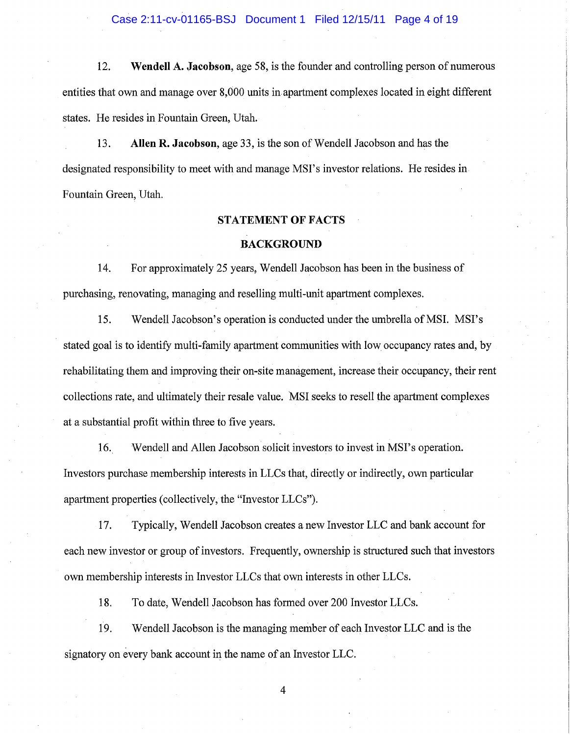Case 2:11-cv-01165-BSJ Document 1 Filed 12/15/11 Page 4 of 19

12. Wendell A. Jacobson, age 58, is the founder and controlling person of numerous entities that own and manage over 8,000 units in apartment complexes located in eight different states. He resides in Fountain Green, Utah.

13. Allen R. Jacobson, age 33, is the son of Wendell Jacobson and has the designated responsibility to meet with and manage MSI's investor relations. He resides in Fountain Green, Utah.

### STATEMENT OF FACTS

### BACKGROUND

14. For approximately 25 years, Wendell Jacobson has been in the business of purchasing, renovating, managing and reselling multi-unit apartment complexes.

15. Wendell Jacobson's operation is conducted under the umbrella of MSI. MSI's stated goal is to identify multi-family apartment communities with low occupancy rates and, by rehabilitating them and improving their on-site management, increase their occupancy, their rent collections rate, and ultimately their resale value. MSI seeks to resell the apartment complexes at a substantial profit within three to five years.

16. Wendell and Allen Jacobson solicit investors to invest in MSI's operation. Investors purchase membership interests in LLCs that, directly or indirectly, own particular apartment properties (collectively, the "Investor LLCs").

17. Typically, Wendell Jacobson creates a new Investor LLC and bank account for each new investor or group of investors. Frequently, ownership is structured such that investors own membership interests in Investor LLCs that own interests in other LLCs.

18. To date, Wendell Jacobson has formed over 200 Investor LLCs.

19. Wendell Jacobson is the managing member of each Investor LLC and is the signatory on every bank account in the name of an Investor LLC.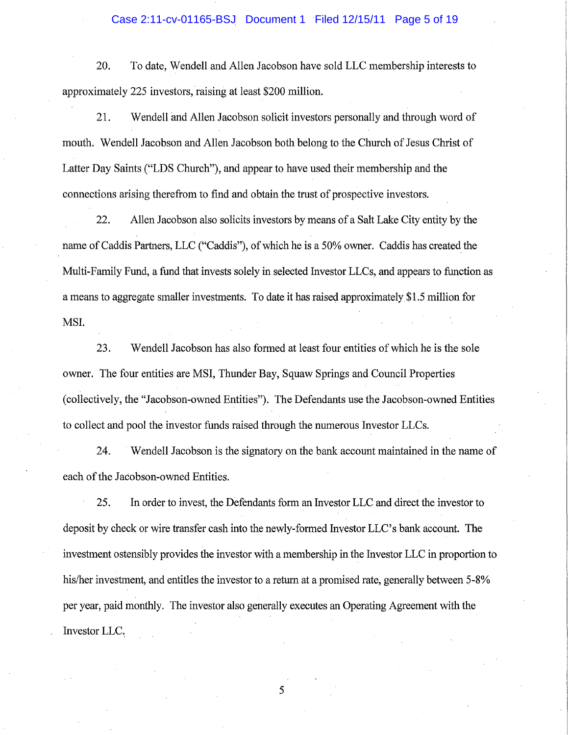## Case 2:11-cv-01165-BSJ Document 1 Filed 12/15/11 Page 5 of 19

20. To date, Wendell and Allen Jacobson have sold LLC membership interests to approximately 225 investors, raising at least \$200 million.

21. Wendell and Allen Jacobson solicit investors personally and through word of mouth. Wendell Jacobson and Allen Jacobson both belong to the Church of Jesus Christ of Latter Day Saints ("LDS Church"), and appear to have used their membership and the connections arising therefrom to find and obtain the trust of prospective investors.

22. Allen Jacobson also solicits investors by means of a Salt Lake City entity by the name of Caddis Partners, LLC ("Caddis"), of which he is a 50% owner. Caddis has created the Multi-Family Fund, a fund that invests solely in selected Investor LLCs, and appears to function as a means to aggregate smaller investments. To date it has raised approximately \$1.5 million for MSI.

23. Wendell Jacobson has also formed at least four entities of which he is the sole owner. The four entities are MSI, Thunder Bay, Squaw Springs and Council Properties (collectively, the "Jacobson-owned Entities"). The Defendants use the Jacobson-owned Entities to collect and pool the investor funds raised through the numerous Investor LLCs.

24. Wendell Jacobson is the signatory on the bank account maintained in the name of each of the Jacobson-owned Entities.

25. In order to invest, the Defendants form an Investor LLC and direct the investor to deposit by check or wire transfer cash into the newly-formed Investor LLC's bank account. The investment ostensibly provides the investor with a membership in the Investor LLC in proportion to his/her investment, and entitles the investor to a return at a promised rate, generally between 5-8% per year, paid monthly. The investor also generally executes an Operating Agreement with the Investor LLC.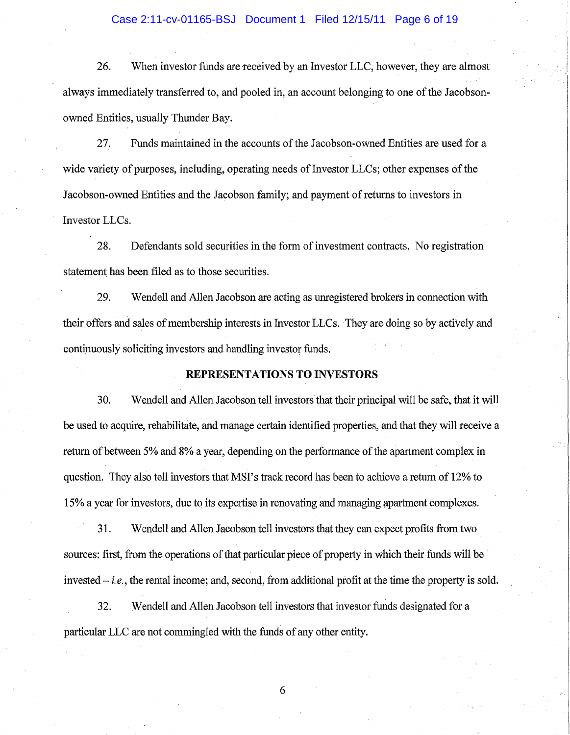### Case 2:11-cv-01165-BSJ Document 1 Filed 12/15/11 Page 6 of 19

26. When investor funds are received by an Investor LLC, however, they are almost always immediately transferred to, and pooled in, an account belonging to one of the Jacobsonowned Entities, usually Thunder Bay.

27. Funds maintained in the accounts of the Jacobson-owned Entities are used for a wide variety of purposes, including, operating needs of Investor LLCs; other expenses of the Jacobson-owned Entities and the Jacobson family; and payment of returns to investors in Investor LLCs.

28. Defendants sold securities in the form of investment contracts. No registration statement has been filed as to those securities.

29. Wendell and Allen Jacobson are acting as unregistered brokers in connection with their offers and sales of membership interests in Investor LLCs. They are doing so by actively and continuously soliciting investors and handling investor funds.

## REPRESENTATIONS TO INVESTORS

30. Wendell and Allen Jacobson tell investors that their principal will be safe, that it will be used to acquire, rehabilitate, and manage certain identified properties, and that they will receive a return of between 5% and 8% a year, depending on the performance of the apartment complex in question. They also tell investors that MSI's track record has been to achieve a return of 12% to 15% a year for investors, due to its expertise in renovating and managing apartment complexes.

31. Wendell and Allen Jacobson tell investors that they can expect profits from two sources: first, from the operations of that particular piece of property in which their funds will be invested - *i. e.,* the rental income; and, second, from additional profit at the time the property is sold.

32. Wendell and Allen Jacobson tell investors that investor funds designated for a particular LLC are not commingled with the funds of any other entity.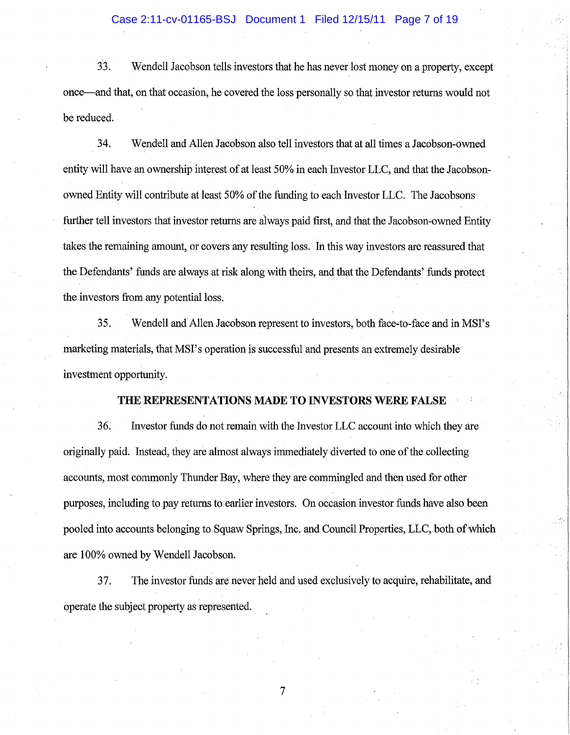33. Wendell Jacobson tells investors that he has never lost money on a property, except once--and that, on that occasion, he covered the loss personally so that investor returns would not be reduced.

34. Wendell and Allen Jacobson also tell investors that at all times a Jacobson-owned entity will have an ownership interest of at least 50% in each Investor LLC, and that the Jacobsonowned Entity will contribute at least 50% of the funding to each Investor LLC. The Jacobsons further tell investors that investor returns are always paid first, and that the Jacobson-owned Entity takes the remaining amount, or covers any resulting loss. In this way investors are reassured that the Defendants' funds are always at risk along with theirs, and that the Defendants' funds protect the investors from any potential loss.

35. Wendell and Allen Jacobson represent to investors, both face-to-face and in MSI's marketing materials, that MSI's operation js successful and presents an extremely desirable investment opportunity.

## **THE REPRESENTATIONS MADE TO INVESTORS WERE FALSE**

36. Investor funds do not remain with the Investor LLC account into which they are originally paid. Instead, they are almost always immediately diverted to one of the collecting accounts, most commonly Thunder Bay, where they are commingled and then used for other purposes, including to pay returns to earlier investors. On occasion investor funds have also been pooled into accounts belonging to Squaw Springs, Inc. and Council Properties, LLC, both of which are 100% owned by Wendell Jacobson.

37. The investor funds are never held and used exclusively to acquire, rehabilitate, and operate the subject property as represented.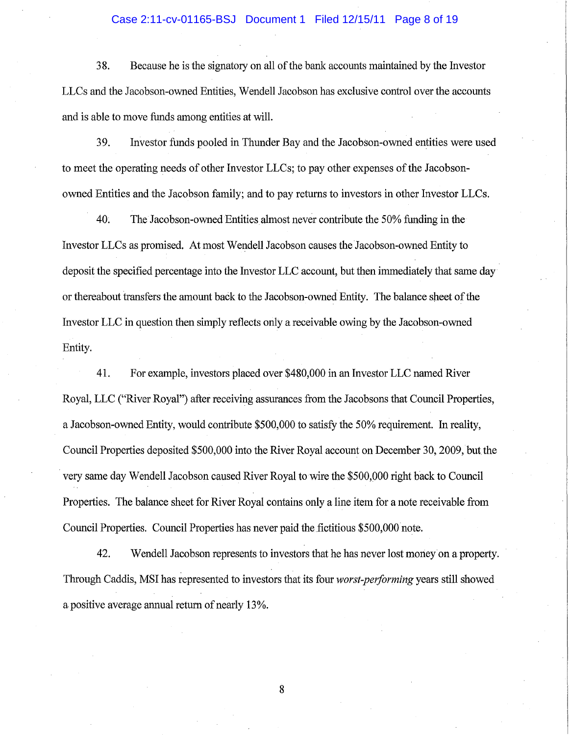## Case 2:11-cv-01165-BSJ Document 1 Filed 12/15/11 Page 8 of 19

38. Because he is the signatory on all of the bank accounts maintained by the Investor LLCs and the Jacobson-owned Entities, Wendell Jacobson has exclusive control over the accounts and is able to move funds among entities at will.

39. Investor funds pooled in Thunder Bay and the Jacobson-owned entities were used to meet the operating needs of other Investor LLCs; to pay other expenses of the Jacobsonowned Entities and the Jacobson family; and to pay returns to investors in other Investor LLCs.

40. The Jacobson-owned Entitiesalmost never contribute the 50% funding in the Investor LLCs as promised. At most Wendell Jacobson causes the Jacobson-owned Entity to deposit the specified percentage into the Investor LLC account, but then immediately that same day or thereabout transfers the amount back to the Jacobson-owned Entity. The balance sheet of the Investor LLC in question then simply reflects only a receivable owing by the Jacobson-owned Entity.

41. For example, investors placed over \$480,000 in an Investor LLC named River Royal, LLC ("River Royal") after receiving assurances from the Jacobsons that Council Properties, a Jacobson-owned Entity, would contribute \$500,000 to satisfy the 50% requirement. In reality, Council Properties deposited \$500,000 into the River Royal account on December 30, 2009, but the . very same day Wendell Jacobson caused River Royal towire the \$500,000 right back to Council Properties. The balance sheet for River Royal contains only a line item for a note receivable from Council Properties. Council Properties has never paid the fictitious \$500,000 note.

42. Wendell Jacobson represents to investors that he has never lost money on a property. Through Caddis, MSI has represented to investors that its four *worst-performing* years still showed a positive average annual return of nearly 13%.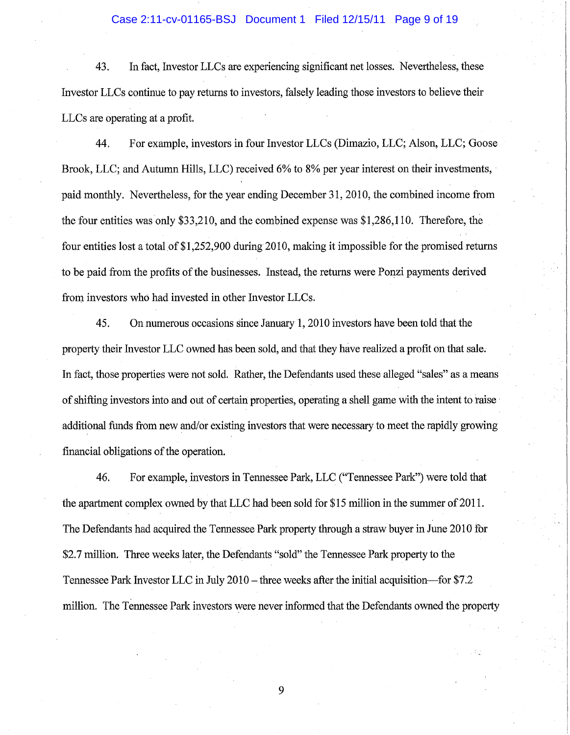### Case 2:11-cv-01165-BSJ Document 1 Filed 12/15/11 Page 9 of 19

43. In fact, Investor LLCs are experiencing significant net losses. Nevertheless, these Investor LLCs continue to pay returns to investors, falsely leading those investors to believe their LLCs are operating at a profit.

44. For example, investors in four Investor LLCs (Dimazio, LLC; Alson, LLC; Goose Brook, LLC; and Autumn Hills, LLC) received 6% to 8% per year interest on their investments, paid monthly. Nevertheless, for the year ending December 31,2010, the combined income from the four entities was only \$33,210, and the combined expense was \$1,286,110. Therefore, the four entities lost a total of \$1,252,900 during 2010, making it impossible for the promised returns to be paid from the profits of the businesses. Instead, the returns were Ponzi payments derived from investors who had invested in other Investor LLCs.

45. On numerous occasions since January 1,2010 investors have been told that the property their Investor LLC owned has been sold, and that they have realized a profit on that sale. In fact, those properties were not sold. Rather, the Defendants used these alleged "sales" as a means of shifting investors into and out of certain properties, operating a shell game with the intent to raise· additional funds from new and/or existing investors that were necessary to meet the rapidly growing financial obligations of the operation.

46. For example, investors in Tennessee Park, LLC ("Tennessee Park") were told that the apartment complex owned by that LLC had been sold for \$15 million in the summer of  $2011$ . The Defendants had acquired the Tennessee Park property through a straw buyer in June 2010 for \$2.7 million. Three weeks later, the Defendants "sold" the Tennessee Park property to the Tennessee Park Investor LLC in July 2010 – three weeks after the initial acquisition—for \$7.2 million. The Tennessee Park investors were never informed that the Defendants owned the property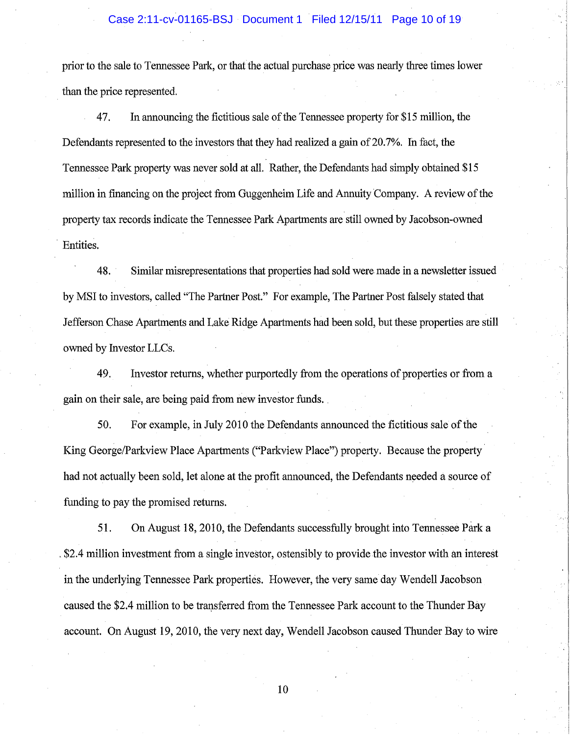### Case 2:11-cv-01165-BSJ Document 1 Filed 12/15/11 Page 10 of 19

prior to the sale to Tennessee Park, or that the actual purchase price was nearly three times lower than the price represented.

47. In announcing the fictitious sale of the Tennessee property for \$15 million, the Defendants represented to the investors that they had realized a gain of 20.7%. In fact, the Tennessee Park property was never sold at all. Rather, the Defendants had simply obtained \$15 million in financing on the project from Guggenheim Life and Annuity Company. A review of the property tax records indicate the Tennessee Park Apartments are still owned by Jacobson-owned . Entities.

48. Similar misrepresentations that properties had sold were made in a newsletter issued by MSI to investors, called "The Partner Post." For example, The Partner Post falsely stated that Jefferson Chase Apartments and Lake Ridge Apartments had been sold, but these properties are still owned by Investor LLCs.

49. Investor returns, whether purportedly from the operations of properties or from a gain on their sale, are being paid from new investor funds.

50. For example, in July 2010 the Defendants announced the fictitious sale of the King George/Parkview Place Apartments ("Parkview Place") property. Because the property had not actually been sold, let alone at the profit announced, the Defendants needed a source of funding to pay the promised returns.

51. On August 18, 2010, the Defendants successfully brought into Tennessee Park a . \$2.4 million investment from a single investor, ostensibly to provide the investor with an interest in the underlying Tennessee Park properties. However, the very same day Wendell Jacobson caused the \$2.4 million to be transferred from the Tennessee Park account to the Thunder Bay account. On August 19,2010, the very next day, Wendell Jacobson caused Thunder Bay to wire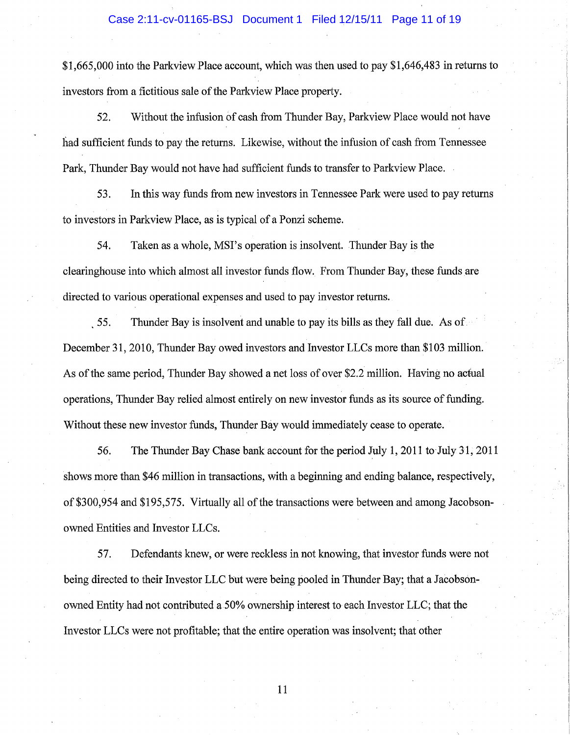### Case 2:11-cv-01165-BSJ Document 1 Filed 12/15/11 Page 11 of 19

 $$1,665,000$  into the Parkview Place account, which was then used to pay  $$1,646,483$  in returns to investors from a fictitious sale of the Parkview Place property.

52. Without the infusion of cash from Thunder Bay, Parkview Place would not have had sufficient funds to pay the returns. Likewise, without the infusion of cash from Tennessee Park, Thunder Bay would not have had sufficient funds to transfer to Parkview Place.

53. In this way funds from new investors in Tennessee Park were used to pay returns to investors in Parkview Place, as is typical of a Ponzi scheme.

54. Taken as a whole, MSI's operation is insolvent. Thunder Bay is the clearinghouse into which almost all investor funds flow. From Thunder Bay, these funds are directed to various operational expenses and used to pay investor returns.

55. Thunder Bay is insolvent and unable to pay its bills as they fall due. As of December 31, 2010, Thunder Bay owed investors and Investor LLCs more than \$103 million. As of the same period, Thunder Bay showed a net loss of over \$2.2 million. Having no actual operations, Thunder Bay relied almost entirely on new investor funds as its source of funding. Without these new investor funds, Thunder Bay would immediately cease to operate.

56. The Thunder Bay Chase bank account for the period July 1,2011 to-July 31, 2011 shows more than \$46 million in transactions, with a beginning and ending balance, respectively, of\$300,954 and \$195,575. Virtually all of the transactions were between and among Jacobsonowned Entities and Investor LLCs.

57. Defendants knew, or were reckless in not knowing, that investor funds were not being directed to their Investor LLC but were being pooled in Thunder Bay; that a Jacobsonowned Entity had not contributed a50% ownership interest to each Investor LLC; that the Investor LLCs were not profitable; that the entire operation was insolvent; that other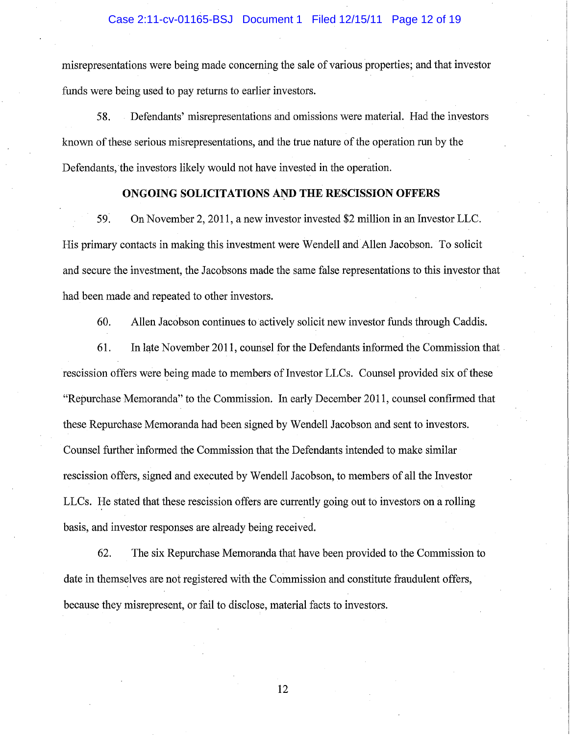misrepresentations were being made concerning the sale of various properties; and that investor funds were being used to pay returns to earlier investors.

58. Defendants' misrepresentations and omissions were material. Had the investors known of these serious misrepresentations, and the true nature of the operation run by the Defendants, the investors likely would not have invested in the operation.

## **ONGOING SOLICITATIONS AND THE RESCISSION OFFERS**

59~ On November 2, 2011, a new investor invested \$2 million in an Investor LLC. His primary contacts in making this investment were Wendell and Allen Jacobson. To solicit and secure the investment, the Jacobsons made the same false representations to this investor that had been made and repeated to other investors.

60. Allen Jacobson continues to actively solicit new investor funds through Caddis.

61. In late November 2011, counsel for the Defendants informed the Commission that rescission offers were being made to members of Investor LLCs. Counsel provided six of these "Repurchase Memoranda" to the Commission. In early December **2011,** counsel confirmed that these Repurchase Memoranda had been signed by Wendell Jacobson and sent to investors. Counsel further informed the Commission that the Defendants intended to make similar rescission offers, signed and executed by Wendell Jacobson, to members of all the Investor LLCs. He stated that these rescission offers are currently going out to investors on a rolling basis, and investor responses are already being received.

62. The six Repurchase Memoranda that have been provided to the Commission to date in themselves are not registered with the Commission and constitute fraudulent offers, because they misrepresent, or fail to disclose, material facts to investors.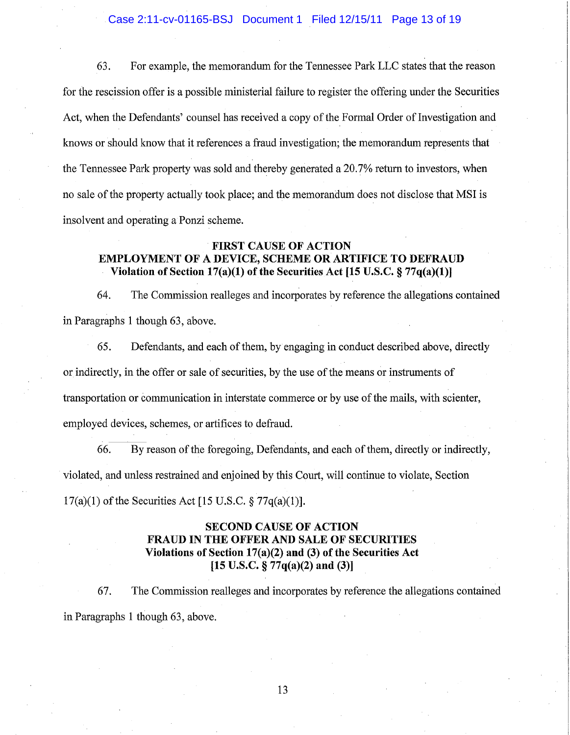Case 2:11-cv-01165-BSJ Document 1 Filed 12/15/11 Page 13 of 19

63. For example, the memorandum for the Tennessee Park LLC states that the reason for the rescission offer is a possible ministerial failure to register the offering under the Securities Act, when the Defendants' counsel has received a copy of the Formal Order of Investigation and knows or should know that it references a fraud investigation; the memorandum represents that the Tennessee Park property was sold and thereby generated a 20.7% return to investors, when no sale of the property actually took place; and the memorandum does not disclose that MSI is insolvent and operating a Ponzi scheme.

## FIRST CAUSE OF ACTION EMPLOYMENT OF A DEVICE, SCHEME OR ARTIFICE TO DEFRAUD Violation of Section  $17(a)(1)$  of the Securities Act [15 U.S.C. § 77q(a)(1)]

64. The Commission realleges and incorporates by reference the allegations contained in Paragraphs 1 though 63, above.

65. Defendants, and each of them, by engaging in conduct described above, directly or indirectly, in the offer or sale of securities, by the use of the means or instruments of transportation or communication in interstate commerce or by use of the mails, with scienter, employed devices, schemes, or artifices to defraud.

66. By reason of the foregoing, Defendants, and each of them, directly or indirectly, violated, and unless restrained and enjoined by this Court, will continue to violate, Section  $17(a)(1)$  of the Securities Act [15 U.S.C. § 77q(a)(1)].

# SECOND CAUSE OF ACTION FRAUD IN THE OFFER AND SALE OF SECURITIES Violations of Section 17(a)(2) and (3) of the Securities Act  $[15 \text{ U.S.C.} \$  77q(a)(2) and (3)]

67. The Commission realleges and incorporates by reference the allegations contained in Paragraphs 1 though 63, above.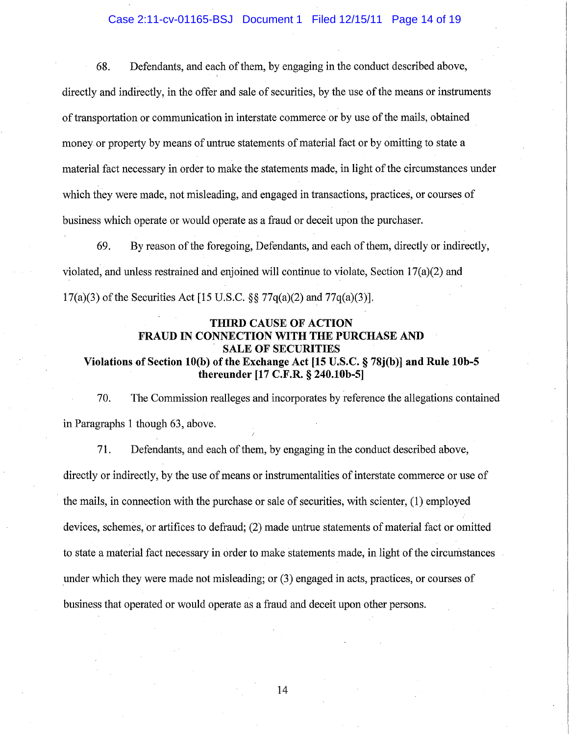## Case 2:11-cv-01165-BSJ Document 1 Filed 12/15/11 Page 14 of 19

68. Defendants, and each of them, by engaging in the conduct described above, directly and indirectly, in the offer and sale of securities, by the use of the means or instruments of transportation or communication in interstate commerce or by use of the mails, obtained money or property by means of untrue statements of material fact or by omitting to state a material fact necessary in order to make the statements made, in light of the circumstances under which they were made, not misleading, and engaged in transactions, practices, or courses of business which operate or would operate as a fraud or deceit upon the purchaser.

69. By reason of the foregoing, Defendants, and each of them, directly or indirectly, violated, and unless restrained and enjoined will continue to violate, Section 17(a)(2) and 17(a)(3) of the Securities Act [15 U.S.C. §§ 77q(a)(2) and 77q(a)(3)].

# THIRD CAUSE OF ACTION FRAUD IN CONNECTION WITH THE PURCHASE AND SALE OF SECURITIES

# Violations of Section 10(b) of the Exchange Act [15 U.S.C. § 78j(b)] and Rule 10b-5 thereunder [17 C.F.R. § 240.10b-5]

70. The Commission realleges and incorporates by reference the allegations contained in Paragraphs 1 though 63, above.

71. Defendants, and each of them, by engaging in the conduct described above, directly or indirectly, by the use of means or instrumentalities of interstate commerce or use of the mails, in connection with the purchase or sale of securities, with scienter, (1) employed devices, schemes, or artifices to defraud; (2) made untrue statements of material fact or omitted to state a material fact necessary in order to make statements made, in light of the circumstances under which they were made not misleading; or (3) engaged in acts, practices, or courses of business that operated or would operate as a fraud and deceit upon other persons.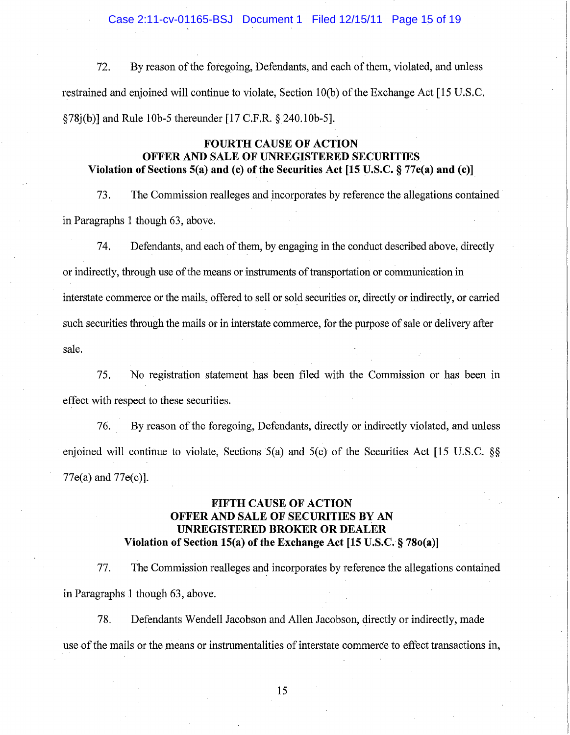Case 2:11-cv-01165-BSJ Document 1 Filed 12/15/11 Page 15 of 19

72. By reason of the foregoing, Defendants, and each of them, violated, and unless restrained and enjoined will continue to violate. Section 10(b) of the Exchange Act [15 U.S.C. §78j(b)] and Rule 10b-5 thereunder [17 C.F.R. § 240.10b-5].

## **FOURTH CAUSE OF ACTION OFFER AND SALE OF UNREGISTERED SECURITIES Violation** of Sections **5(a) and (c)** of the **Securities Act [15** U~S.C. § **77e(a) and (c)]**

73. The Commission realleges and incorporates by reference the allegations contained in Paragraphs 1 though 63, above.

74. Defendants, and each of them, by engaging in the conduct described above, directly or indirectly, through use of the means or instruments of transportation or communication in interstate commerce or the mails, offered to sell or sold securities or, directly or indirectly, or carried such securities through the mails or in interstate commerce, for the purpose of sale or delivery after sale.

75. No registration statement has been filed with the Commission or has been in effect with respect to these securities.

76. By reason of the foregoing, Defendants, directly or indirectly violated, and unless enjoined will continue to violate, Sections 5(a) and 5(c) of the Securities Act [15 U.S.C. §§ 77e(a) and 77e(c)].

## **FIFTH CAUSE OF ACTION OFFER AND SALE OF SECURITIES BY AN UNREGISTERED BROKER OR DEALER Violation of Section 15(a) of the Exchange Act [15 U.S.C. § 78o(a)]**

77. The Commission realleges and incorporates by reference the allegations contained in Paragraphs 1 though 63, above.

78. Defendants Wendell Jacobson and Allen Jacobson, directly or indirectly, made use of the mails or the means or instrumentalities of interstate commerce to effect transactions in,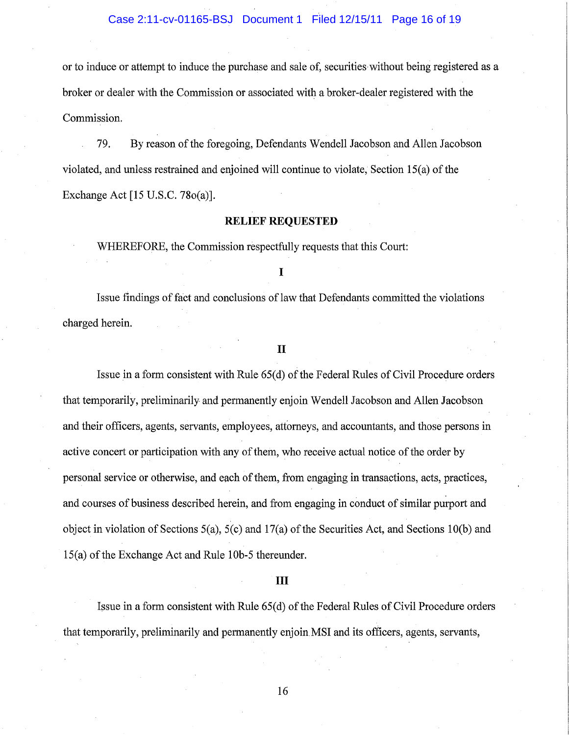## Case 2:11-cv-01165-BSJ Document 1 Filed 12/15/11 Page 16 of 19

or to induce or attempt to induce the purchase and sale of, securities without being registered as a broker or dealer with the Commission or associated with a broker-dealer registered with the Commission.

79. By reason of the foregoing, Defendants Wendell Jacobson and Allen Jacobson violated, and unless restrained and enjoined will continue to violate, Section lS(a) of the Exchange Act [15 U.S.C. 780(a)].

## **RELIEF REQUESTED**

WHEREFORE, the Commission respectfully requests that this Court:

### I

Issue findings of fact and conclusions of law that Defendants committed the violations charged herein.

### II

Issue in a form consistent with Rule 65(d) of the Federal Rules of Civil Procedure orders that temporarily, preliminarily and permanently enjoin Wendell Jacobson and Allen Jacobson and their officers, agents, servants, employees, attorneys, and accountants, and those persons in active concert or participation with any of them, who receive actual notice of the order by personal service or otherwise, and each of them, from engaging in transactions, acts, practices, and courses of business described herein, and from engaging in conduct of similar purport and object in violation of Sections  $5(a)$ ,  $5(c)$  and  $17(a)$  of the Securities Act, and Sections 10(b) and lS(a) of the Exchange Act and Rule 10b-S thereunder.

### **III**

Issue in a form consistent with Rule 65(d) of the Federal Rules of Civil Procedure orders that temporarily, preliminarily and permanently enjoinMSI and its officers, agents, servants,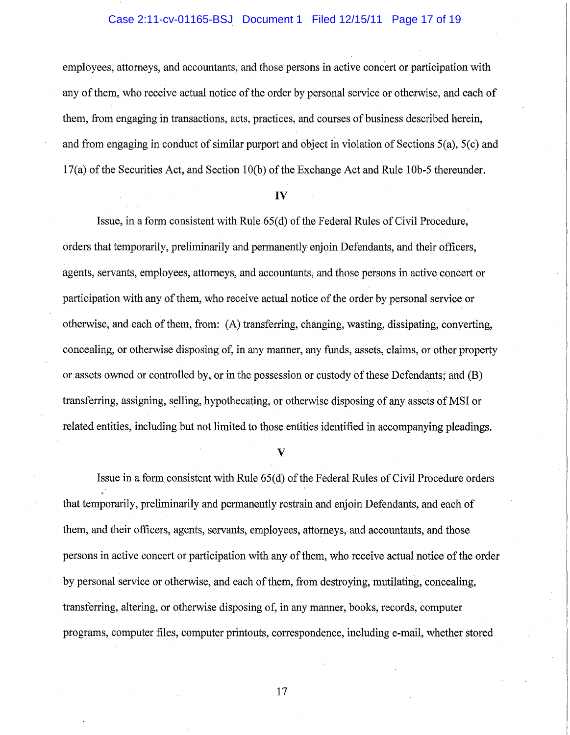### Case 2:11-cv-01165-BSJ Document 1 Filed 12/15/11 Page 17 of 19

employees, attorneys, and accountants, and those persons in active concert or participation with any of them, who receive actual notice of the order by personal service or otherwise, and each of them, from engaging in transactions, acts, practices, and courses of business described herein, and from engaging in conduct of similar purport and object in violation of Sections 5(a), 5(c) and  $17(a)$  of the Securities Act, and Section 10(b) of the Exchange Act and Rule 10b-5 thereunder.

#### **IV**

Issue, in a form consistent with Rule 65(d) of the Federal Rules of Civil Procedure, orders that temporarily, preliminarily and permanently enjoin Defendants, and their officers, agents, servants, employees, attorneys, and accountants, and those persons in active concert or participation with any of them, who receive actual notice of the order by personal service or otherwise, and each of them, from: (A) transferring, changing, wasting, dissipating, converting, concealing, or otherwise disposing of, in any manner, any funds, assets, claims, or other property or assets owned or controlled by, or in the possession or custody of these Defendants; and (B) transferring, assigning, selling, hypothecating, or otherwise disposing of any assets of MSI or related entities, including but not limited to those entities identified in accompanying pleadings.

V

Issue in a form consistent with Rule 65(d) of the Federal Rules of Civil Procedure orders that temporarily, preliminarily and permanently restrain and enjoin Defendants, and each of them, and their officers, agents, servants, employees, attorneys, and accountants, and those persons in active concert or participation with any of them, who receive actual notice of the order by personal service or otherwise, and each of them, from destroying, mutilating, concealing, transferring, altering, or otherwise disposing of, in any manner, books, records, computer programs, computer files, computer printouts, correspondence, including e-mail, whether stored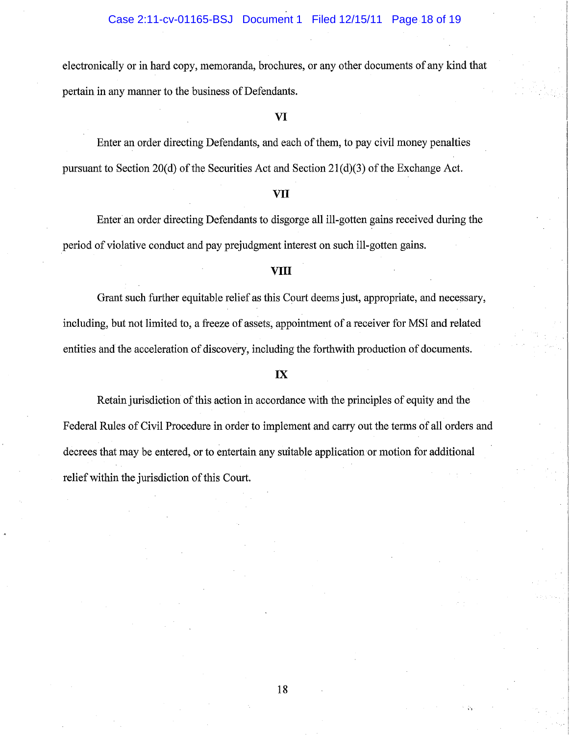### Case 2:11-cv-01165-BSJ Document 1 Filed 12/15/11 Page 18 of 19

electronically or in hard copy, memoranda, brochures, or any other documents of any kind that pertain in any manner to the business of Defendants.

### **VI**

Enter an order directing Defendants, and each of them, to pay civil money penalties pursuant to Section 20(d) of the Securities Act and Section 21(d)(3) of the Exchange Act.

#### **VII**

Enter an order directing Defendants to disgorge all ill~gotten gains received during the period of violative conduct and pay prejudgment interest on such ill-gotten gains.

#### **VIII**

Grant such further equitable relief as this Court deems just, appropriate, and necessary, including, but not limited to, a freeze of assets, appointment of a receiver for MSI and related entities and the acceleration of discovery, including the forthwith production of documents.

### **IX**

Retain jurisdiction of this action in accordance with the principles of equity and the Federal Rules of Civil Procedure in order to implement and carry out the terms of all orders and decrees that may be entered, or to entertain any suitable application or motion for additional relief within the jurisdiction of this Court.